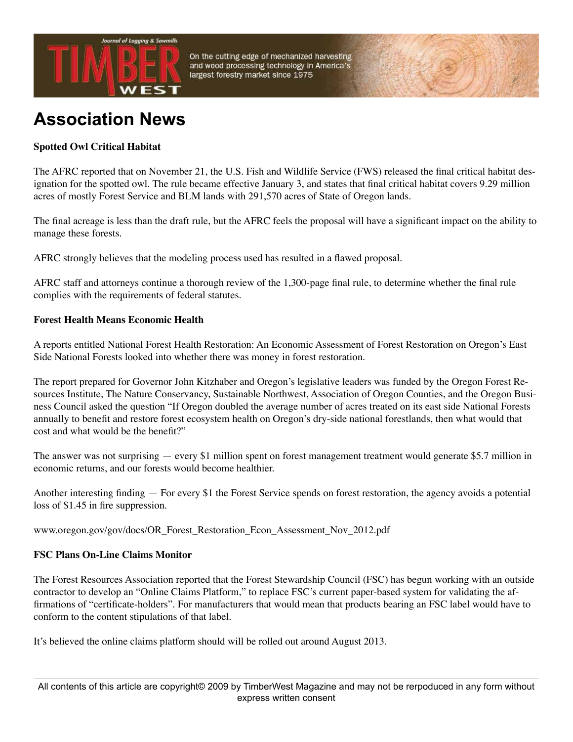

On the cutting edge of mechanized harvesting and wood processing technology in America's largest forestry market since 1975

## **Association News**

## **Spotted Owl Critical Habitat**

The AFRC reported that on November 21, the U.S. Fish and Wildlife Service (FWS) released the final critical habitat designation for the spotted owl. The rule became effective January 3, and states that final critical habitat covers 9.29 million acres of mostly Forest Service and BLM lands with 291,570 acres of State of Oregon lands.

The final acreage is less than the draft rule, but the AFRC feels the proposal will have a significant impact on the ability to manage these forests.

AFRC strongly believes that the modeling process used has resulted in a flawed proposal.

AFRC staff and attorneys continue a thorough review of the 1,300-page final rule, to determine whether the final rule complies with the requirements of federal statutes.

## **Forest Health Means Economic Health**

A reports entitled National Forest Health Restoration: An Economic Assessment of Forest Restoration on Oregon's East Side National Forests looked into whether there was money in forest restoration.

The report prepared for Governor John Kitzhaber and Oregon's legislative leaders was funded by the Oregon Forest Resources Institute, The Nature Conservancy, Sustainable Northwest, Association of Oregon Counties, and the Oregon Business Council asked the question "If Oregon doubled the average number of acres treated on its east side National Forests annually to benefit and restore forest ecosystem health on Oregon's dry-side national forestlands, then what would that cost and what would be the benefit?"

The answer was not surprising — every \$1 million spent on forest management treatment would generate \$5.7 million in economic returns, and our forests would become healthier.

Another interesting finding — For every \$1 the Forest Service spends on forest restoration, the agency avoids a potential loss of \$1.45 in fire suppression.

www.oregon.gov/gov/docs/OR\_Forest\_Restoration\_Econ\_Assessment\_Nov\_2012.pdf

## **FSC Plans On-Line Claims Monitor**

The Forest Resources Association reported that the Forest Stewardship Council (FSC) has begun working with an outside contractor to develop an "Online Claims Platform," to replace FSC's current paper-based system for validating the affirmations of "certificate-holders". For manufacturers that would mean that products bearing an FSC label would have to conform to the content stipulations of that label.

It's believed the online claims platform should will be rolled out around August 2013.